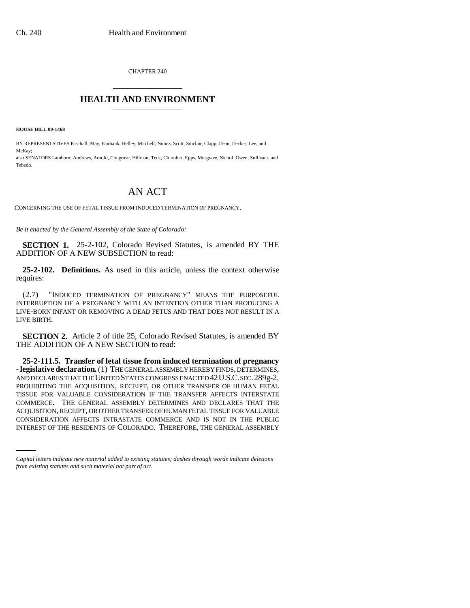CHAPTER 240 \_\_\_\_\_\_\_\_\_\_\_\_\_\_\_

## **HEALTH AND ENVIRONMENT** \_\_\_\_\_\_\_\_\_\_\_\_\_\_\_

**HOUSE BILL 00-1468**

BY REPRESENTATIVES Paschall, May, Fairbank, Hefley, Mitchell, Nuñez, Scott, Sinclair, Clapp, Dean, Decker, Lee, and McKay; also SENATORS Lamborn, Andrews, Arnold, Congrove, Hillman, Teck, Chlouber, Epps, Musgrave, Nichol, Owen, Sullivant, and Tebedo.

## AN ACT

CONCERNING THE USE OF FETAL TISSUE FROM INDUCED TERMINATION OF PREGNANCY.

*Be it enacted by the General Assembly of the State of Colorado:*

**SECTION 1.** 25-2-102, Colorado Revised Statutes, is amended BY THE ADDITION OF A NEW SUBSECTION to read:

**25-2-102. Definitions.** As used in this article, unless the context otherwise requires:

(2.7) "INDUCED TERMINATION OF PREGNANCY" MEANS THE PURPOSEFUL INTERRUPTION OF A PREGNANCY WITH AN INTENTION OTHER THAN PRODUCING A LIVE-BORN INFANT OR REMOVING A DEAD FETUS AND THAT DOES NOT RESULT IN A LIVE BIRTH.

**SECTION 2.** Article 2 of title 25, Colorado Revised Statutes, is amended BY THE ADDITION OF A NEW SECTION to read:

ACQUISITION, RECEIPT, OR OTHER TRANSFER OF HUMAN FETAL TISSUE FOR VALUABLE **25-2-111.5. Transfer of fetal tissue from induced termination of pregnancy - legislative declaration.** (1) THE GENERAL ASSEMBLY HEREBY FINDS, DETERMINES, AND DECLARES THAT THE UNITED STATES CONGRESS ENACTED 42U.S.C. SEC.289g-2, PROHIBITING THE ACQUISITION, RECEIPT, OR OTHER TRANSFER OF HUMAN FETAL TISSUE FOR VALUABLE CONSIDERATION IF THE TRANSFER AFFECTS INTERSTATE COMMERCE. THE GENERAL ASSEMBLY DETERMINES AND DECLARES THAT THE CONSIDERATION AFFECTS INTRASTATE COMMERCE AND IS NOT IN THE PUBLIC INTEREST OF THE RESIDENTS OF COLORADO. THEREFORE, THE GENERAL ASSEMBLY

*Capital letters indicate new material added to existing statutes; dashes through words indicate deletions from existing statutes and such material not part of act.*